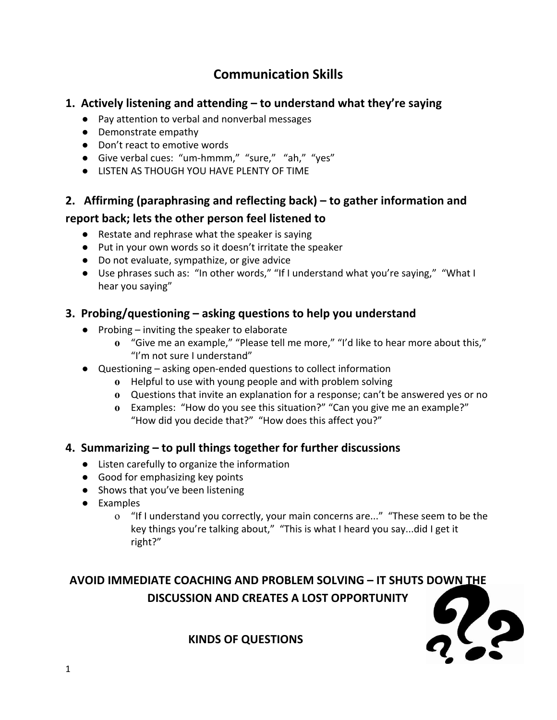# **Communication Skills**

## **1. Actively listening and attending – to understand what they're saying**

- Pay attention to verbal and nonverbal messages
- Demonstrate empathy
- Don't react to emotive words
- Give verbal cues: "um-hmmm," "sure," "ah," "yes"
- LISTEN AS THOUGH YOU HAVE PLENTY OF TIME

## **2. Affirming (paraphrasing and reflecting back) – to gather information and**

## **report back; lets the other person feel listened to**

- Restate and rephrase what the speaker is saying
- Put in your own words so it doesn't irritate the speaker
- Do not evaluate, sympathize, or give advice
- Use phrases such as: "In other words," "If I understand what you're saying," "What I hear you saying"

## **3. Probing/questioning – asking questions to help you understand**

- **●** Probing inviting the speaker to elaborate
	- **o** "Give me an example," "Please tell me more," "I'd like to hear more about this," "I'm not sure I understand"
- **●** Questioning asking open-ended questions to collect information
	- **o** Helpful to use with young people and with problem solving
	- **o** Questions that invite an explanation for a response; can't be answered yes or no
	- **o** Examples: "How do you see this situation?" "Can you give me an example?" "How did you decide that?" "How does this affect you?"

#### **4. Summarizing – to pull things together for further discussions**

- Listen carefully to organize the information
- Good for emphasizing key points
- Shows that you've been listening
- Examples
	- o "If I understand you correctly, your main concerns are..." "These seem to be the key things you're talking about," "This is what I heard you say...did I get it right?"

# **AVOID IMMEDIATE COACHING AND PROBLEM SOLVING – IT SHUTS DOWN THE DISCUSSION AND CREATES A LOST OPPORTUNITY**



**KINDS OF QUESTIONS**